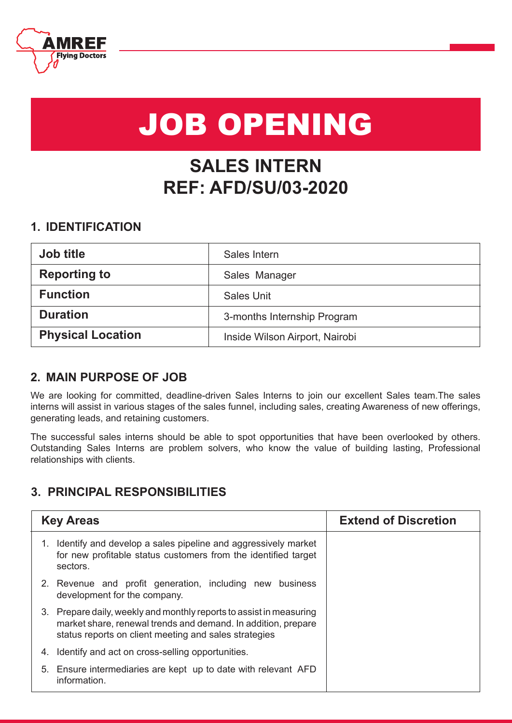

# JOB OPENING

# **SALES INTERN REF: AFD/SU/03-2020**

### **1. IDENTIFICATION**

| <b>Job title</b>         | Sales Intern                   |
|--------------------------|--------------------------------|
| <b>Reporting to</b>      | Sales Manager                  |
| <b>Function</b>          | <b>Sales Unit</b>              |
| <b>Duration</b>          | 3-months Internship Program    |
| <b>Physical Location</b> | Inside Wilson Airport, Nairobi |

## **2. MAIN PURPOSE OF JOB**

We are looking for committed, deadline-driven Sales Interns to join our excellent Sales team.The sales interns will assist in various stages of the sales funnel, including sales, creating Awareness of new offerings, generating leads, and retaining customers.

The successful sales interns should be able to spot opportunities that have been overlooked by others. Outstanding Sales Interns are problem solvers, who know the value of building lasting, Professional relationships with clients.

## **3. PRINCIPAL RESPONSIBILITIES**

| <b>Key Areas</b>                                                                                                                                                                              | <b>Extend of Discretion</b> |
|-----------------------------------------------------------------------------------------------------------------------------------------------------------------------------------------------|-----------------------------|
| 1. Identify and develop a sales pipeline and aggressively market<br>for new profitable status customers from the identified target<br>sectors.                                                |                             |
| 2. Revenue and profit generation, including new business<br>development for the company.                                                                                                      |                             |
| 3. Prepare daily, weekly and monthly reports to assist in measuring<br>market share, renewal trends and demand. In addition, prepare<br>status reports on client meeting and sales strategies |                             |
| Identify and act on cross-selling opportunities.<br>4.                                                                                                                                        |                             |
| 5. Ensure intermediaries are kept up to date with relevant AFD<br>information.                                                                                                                |                             |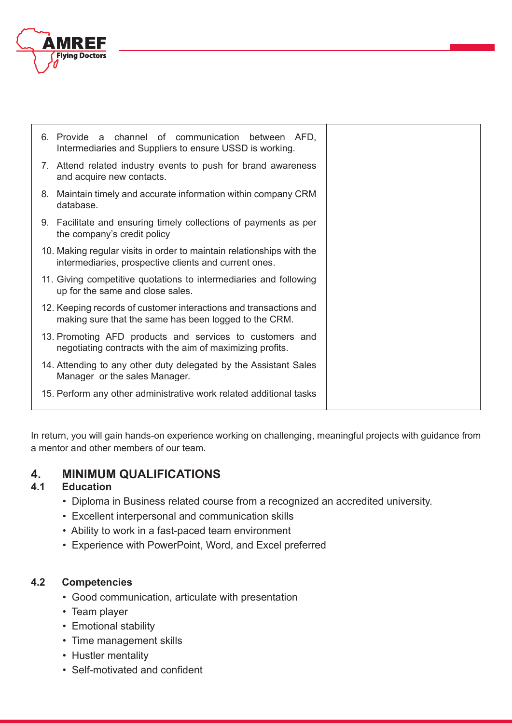

| 6. Provide a channel of communication between AFD,<br>Intermediaries and Suppliers to ensure USSD is working.                  |  |
|--------------------------------------------------------------------------------------------------------------------------------|--|
| 7. Attend related industry events to push for brand awareness<br>and acquire new contacts.                                     |  |
| 8. Maintain timely and accurate information within company CRM<br>database.                                                    |  |
| 9. Facilitate and ensuring timely collections of payments as per<br>the company's credit policy                                |  |
| 10. Making regular visits in order to maintain relationships with the<br>intermediaries, prospective clients and current ones. |  |
| 11. Giving competitive quotations to intermediaries and following<br>up for the same and close sales.                          |  |
| 12. Keeping records of customer interactions and transactions and<br>making sure that the same has been logged to the CRM.     |  |
| 13. Promoting AFD products and services to customers and<br>negotiating contracts with the aim of maximizing profits.          |  |
| 14. Attending to any other duty delegated by the Assistant Sales<br>Manager or the sales Manager.                              |  |
| 15. Perform any other administrative work related additional tasks                                                             |  |

In return, you will gain hands-on experience working on challenging, meaningful projects with guidance from a mentor and other members of our team.

# **4. MINIMUM QUALIFICATIONS**

#### **4.1 Education**

- Diploma in Business related course from a recognized an accredited university.
- Excellent interpersonal and communication skills
- Ability to work in a fast-paced team environment
- Experience with PowerPoint, Word, and Excel preferred

#### **4.2 Competencies**

- Good communication, articulate with presentation
- Team player
- Emotional stability
- Time management skills
- Hustler mentality
- Self-motivated and confident